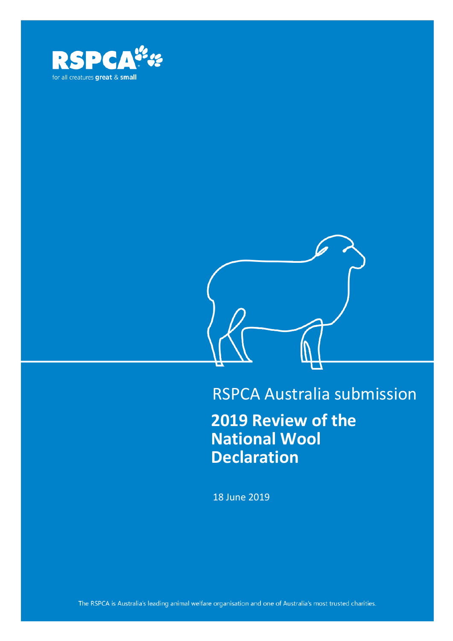



# RSPCA Australia submission

**2019 Review of the National Wool Declaration**

18 June 2019

The RSPCA is Australia's leading animal welfare organisation and one of Australia's most trusted charities.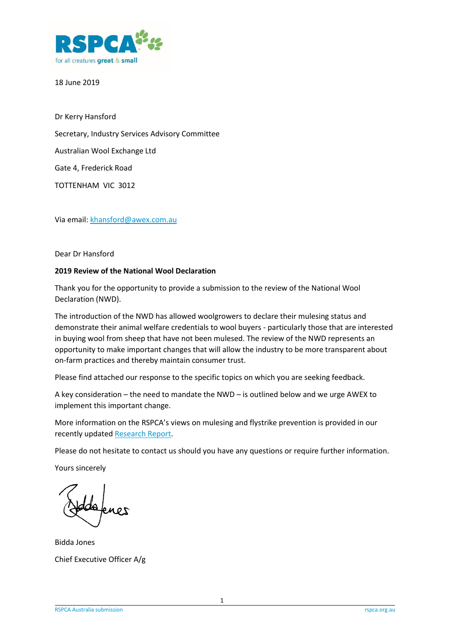

18 June 2019

Dr Kerry Hansford Secretary, Industry Services Advisory Committee Australian Wool Exchange Ltd Gate 4, Frederick Road TOTTENHAM VIC 3012

Via email[: khansford@awex.com.au](mailto:khansford@awex.com.au)

Dear Dr Hansford

#### **2019 Review of the National Wool Declaration**

Thank you for the opportunity to provide a submission to the review of the National Wool Declaration (NWD).

The introduction of the NWD has allowed woolgrowers to declare their mulesing status and demonstrate their animal welfare credentials to wool buyers - particularly those that are interested in buying wool from sheep that have not been mulesed. The review of the NWD represents an opportunity to make important changes that will allow the industry to be more transparent about on-farm practices and thereby maintain consumer trust.

Please find attached our response to the specific topics on which you are seeking feedback.

A key consideration – the need to mandate the NWD – is outlined below and we urge AWEX to implement this important change.

More information on the RSPCA's views on mulesing and flystrike prevention is provided in our recently updated [Research Report.](https://kb.rspca.org.au/afile/769/185/1/)

Please do not hesitate to contact us should you have any questions or require further information.

Yours sincerely

Bidda Jones Chief Executive Officer A/g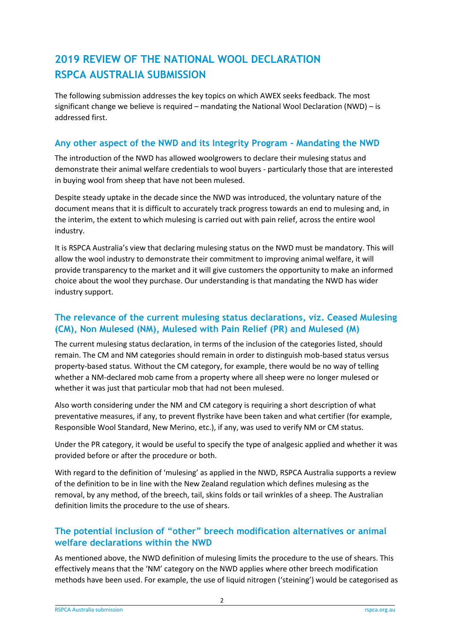# **2019 REVIEW OF THE NATIONAL WOOL DECLARATION RSPCA AUSTRALIA SUBMISSION**

The following submission addresses the key topics on which AWEX seeks feedback. The most significant change we believe is required – mandating the National Wool Declaration (NWD) – is addressed first.

### **Any other aspect of the NWD and its Integrity Program - Mandating the NWD**

The introduction of the NWD has allowed woolgrowers to declare their mulesing status and demonstrate their animal welfare credentials to wool buyers - particularly those that are interested in buying wool from sheep that have not been mulesed.

Despite steady uptake in the decade since the NWD was introduced, the voluntary nature of the document means that it is difficult to accurately track progress towards an end to mulesing and, in the interim, the extent to which mulesing is carried out with pain relief, across the entire wool industry.

It is RSPCA Australia's view that declaring mulesing status on the NWD must be mandatory. This will allow the wool industry to demonstrate their commitment to improving animal welfare, it will provide transparency to the market and it will give customers the opportunity to make an informed choice about the wool they purchase. Our understanding is that mandating the NWD has wider industry support.

## **The relevance of the current mulesing status declarations, viz. Ceased Mulesing (CM), Non Mulesed (NM), Mulesed with Pain Relief (PR) and Mulesed (M)**

The current mulesing status declaration, in terms of the inclusion of the categories listed, should remain. The CM and NM categories should remain in order to distinguish mob-based status versus property-based status. Without the CM category, for example, there would be no way of telling whether a NM-declared mob came from a property where all sheep were no longer mulesed or whether it was just that particular mob that had not been mulesed.

Also worth considering under the NM and CM category is requiring a short description of what preventative measures, if any, to prevent flystrike have been taken and what certifier (for example, Responsible Wool Standard, New Merino, etc.), if any, was used to verify NM or CM status.

Under the PR category, it would be useful to specify the type of analgesic applied and whether it was provided before or after the procedure or both.

With regard to the definition of 'mulesing' as applied in the NWD, RSPCA Australia supports a review of the definition to be in line with the New Zealand regulation which defines mulesing as the removal, by any method, of the breech, tail, skins folds or tail wrinkles of a sheep. The Australian definition limits the procedure to the use of shears.

# **The potential inclusion of "other" breech modification alternatives or animal welfare declarations within the NWD**

As mentioned above, the NWD definition of mulesing limits the procedure to the use of shears. This effectively means that the 'NM' category on the NWD applies where other breech modification methods have been used. For example, the use of liquid nitrogen ('steining') would be categorised as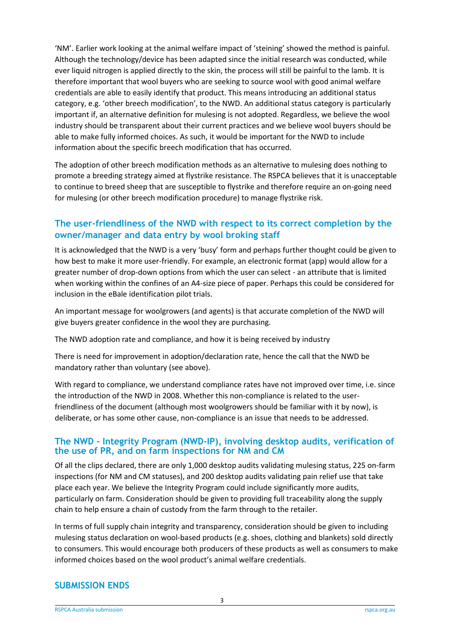'NM'. Earlier work looking at the animal welfare impact of 'steining' showed the method is painful. Although the technology/device has been adapted since the initial research was conducted, while ever liquid nitrogen is applied directly to the skin, the process will still be painful to the lamb. It is therefore important that wool buyers who are seeking to source wool with good animal welfare credentials are able to easily identify that product. This means introducing an additional status category, e.g. 'other breech modification', to the NWD. An additional status category is particularly important if, an alternative definition for mulesing is not adopted. Regardless, we believe the wool industry should be transparent about their current practices and we believe wool buyers should be able to make fully informed choices. As such, it would be important for the NWD to include information about the specific breech modification that has occurred.

The adoption of other breech modification methods as an alternative to mulesing does nothing to promote a breeding strategy aimed at flystrike resistance. The RSPCA believes that it is unacceptable to continue to breed sheep that are susceptible to flystrike and therefore require an on-going need for mulesing (or other breech modification procedure) to manage flystrike risk.

### **The user-friendliness of the NWD with respect to its correct completion by the owner/manager and data entry by wool broking staff**

It is acknowledged that the NWD is a very 'busy' form and perhaps further thought could be given to how best to make it more user-friendly. For example, an electronic format (app) would allow for a greater number of drop-down options from which the user can select - an attribute that is limited when working within the confines of an A4-size piece of paper. Perhaps this could be considered for inclusion in the eBale identification pilot trials.

An important message for woolgrowers (and agents) is that accurate completion of the NWD will give buyers greater confidence in the wool they are purchasing.

The NWD adoption rate and compliance, and how it is being received by industry

There is need for improvement in adoption/declaration rate, hence the call that the NWD be mandatory rather than voluntary (see above).

With regard to compliance, we understand compliance rates have not improved over time, i.e. since the introduction of the NWD in 2008. Whether this non-compliance is related to the userfriendliness of the document (although most woolgrowers should be familiar with it by now), is deliberate, or has some other cause, non-compliance is an issue that needs to be addressed.

#### **The NWD - Integrity Program (NWD-IP), involving desktop audits, verification of the use of PR, and on farm inspections for NM and CM**

Of all the clips declared, there are only 1,000 desktop audits validating mulesing status, 225 on-farm inspections (for NM and CM statuses), and 200 desktop audits validating pain relief use that take place each year. We believe the Integrity Program could include significantly more audits, particularly on farm. Consideration should be given to providing full traceability along the supply chain to help ensure a chain of custody from the farm through to the retailer.

In terms of full supply chain integrity and transparency, consideration should be given to including mulesing status declaration on wool-based products (e.g. shoes, clothing and blankets) sold directly to consumers. This would encourage both producers of these products as well as consumers to make informed choices based on the wool product's animal welfare credentials.

#### **SUBMISSION ENDS**